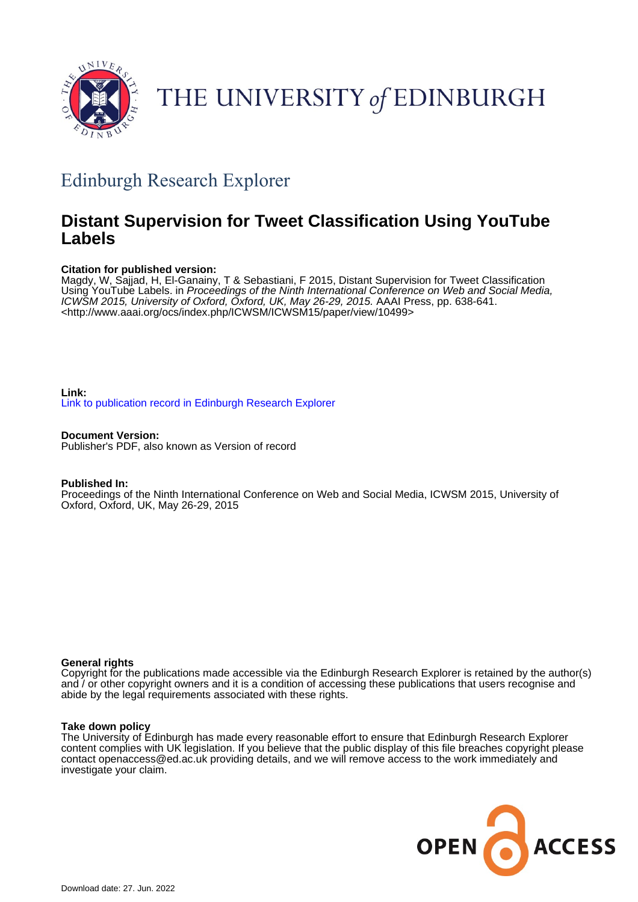

# THE UNIVERSITY of EDINBURGH

## Edinburgh Research Explorer

### **Distant Supervision for Tweet Classification Using YouTube Labels**

#### **Citation for published version:**

Magdy, W, Sajjad, H, El-Ganainy, T & Sebastiani, F 2015, Distant Supervision for Tweet Classification Using YouTube Labels. in Proceedings of the Ninth International Conference on Web and Social Media, ICWSM 2015, University of Oxford, Oxford, UK, May 26-29, 2015. AAAI Press, pp. 638-641. <<http://www.aaai.org/ocs/index.php/ICWSM/ICWSM15/paper/view/10499>>

#### **Link:** [Link to publication record in Edinburgh Research Explorer](https://www.research.ed.ac.uk/en/publications/0a6d19af-0ee1-4a98-8c26-4b89187110e0)

**Document Version:** Publisher's PDF, also known as Version of record

#### **Published In:**

Proceedings of the Ninth International Conference on Web and Social Media, ICWSM 2015, University of Oxford, Oxford, UK, May 26-29, 2015

#### **General rights**

Copyright for the publications made accessible via the Edinburgh Research Explorer is retained by the author(s) and / or other copyright owners and it is a condition of accessing these publications that users recognise and abide by the legal requirements associated with these rights.

#### **Take down policy**

The University of Edinburgh has made every reasonable effort to ensure that Edinburgh Research Explorer content complies with UK legislation. If you believe that the public display of this file breaches copyright please contact openaccess@ed.ac.uk providing details, and we will remove access to the work immediately and investigate your claim.

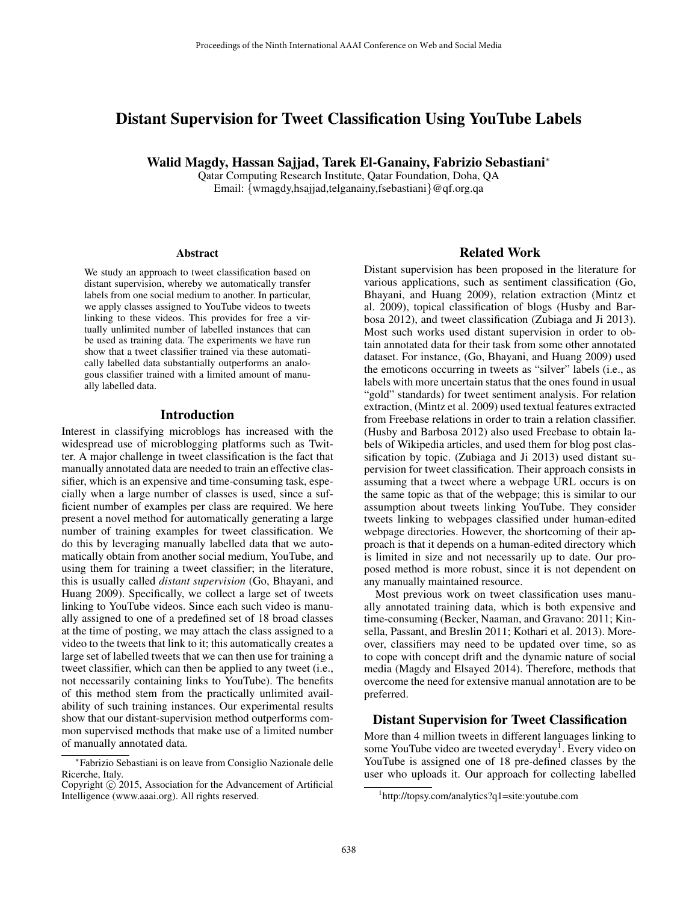#### Distant Supervision for Tweet Classification Using YouTube Labels

Walid Magdy, Hassan Sajjad, Tarek El-Ganainy, Fabrizio Sebastiani<sup>∗</sup>

Qatar Computing Research Institute, Qatar Foundation, Doha, QA Email: {wmagdy,hsajjad,telganainy,fsebastiani}@qf.org.qa

#### **Abstract**

We study an approach to tweet classification based on distant supervision, whereby we automatically transfer labels from one social medium to another. In particular, we apply classes assigned to YouTube videos to tweets linking to these videos. This provides for free a virtually unlimited number of labelled instances that can be used as training data. The experiments we have run show that a tweet classifier trained via these automatically labelled data substantially outperforms an analogous classifier trained with a limited amount of manually labelled data.

#### Introduction

Interest in classifying microblogs has increased with the widespread use of microblogging platforms such as Twitter. A major challenge in tweet classification is the fact that manually annotated data are needed to train an effective classifier, which is an expensive and time-consuming task, especially when a large number of classes is used, since a sufficient number of examples per class are required. We here present a novel method for automatically generating a large number of training examples for tweet classification. We do this by leveraging manually labelled data that we automatically obtain from another social medium, YouTube, and using them for training a tweet classifier; in the literature, this is usually called *distant supervision* (Go, Bhayani, and Huang 2009). Specifically, we collect a large set of tweets linking to YouTube videos. Since each such video is manually assigned to one of a predefined set of 18 broad classes at the time of posting, we may attach the class assigned to a video to the tweets that link to it; this automatically creates a large set of labelled tweets that we can then use for training a tweet classifier, which can then be applied to any tweet (i.e., not necessarily containing links to YouTube). The benefits of this method stem from the practically unlimited availability of such training instances. Our experimental results show that our distant-supervision method outperforms common supervised methods that make use of a limited number of manually annotated data.

#### Related Work

Distant supervision has been proposed in the literature for various applications, such as sentiment classification (Go, Bhayani, and Huang 2009), relation extraction (Mintz et al. 2009), topical classification of blogs (Husby and Barbosa 2012), and tweet classification (Zubiaga and Ji 2013). Most such works used distant supervision in order to obtain annotated data for their task from some other annotated dataset. For instance, (Go, Bhayani, and Huang 2009) used the emoticons occurring in tweets as "silver" labels (i.e., as labels with more uncertain status that the ones found in usual "gold" standards) for tweet sentiment analysis. For relation extraction, (Mintz et al. 2009) used textual features extracted from Freebase relations in order to train a relation classifier. (Husby and Barbosa 2012) also used Freebase to obtain labels of Wikipedia articles, and used them for blog post classification by topic. (Zubiaga and Ji 2013) used distant supervision for tweet classification. Their approach consists in assuming that a tweet where a webpage URL occurs is on the same topic as that of the webpage; this is similar to our assumption about tweets linking YouTube. They consider tweets linking to webpages classified under human-edited webpage directories. However, the shortcoming of their approach is that it depends on a human-edited directory which is limited in size and not necessarily up to date. Our proposed method is more robust, since it is not dependent on any manually maintained resource.

Most previous work on tweet classification uses manually annotated training data, which is both expensive and time-consuming (Becker, Naaman, and Gravano: 2011; Kinsella, Passant, and Breslin 2011; Kothari et al. 2013). Moreover, classifiers may need to be updated over time, so as to cope with concept drift and the dynamic nature of social media (Magdy and Elsayed 2014). Therefore, methods that overcome the need for extensive manual annotation are to be preferred.

#### Distant Supervision for Tweet Classification

More than 4 million tweets in different languages linking to some YouTube video are tweeted everyday<sup>1</sup>. Every video on YouTube is assigned one of 18 pre-defined classes by the user who uploads it. Our approach for collecting labelled

<sup>∗</sup> Fabrizio Sebastiani is on leave from Consiglio Nazionale delle Ricerche, Italy.

Copyright  $\odot$  2015, Association for the Advancement of Artificial Intelligence (www.aaai.org). All rights reserved.

<sup>1</sup> http://topsy.com/analytics?q1=site:youtube.com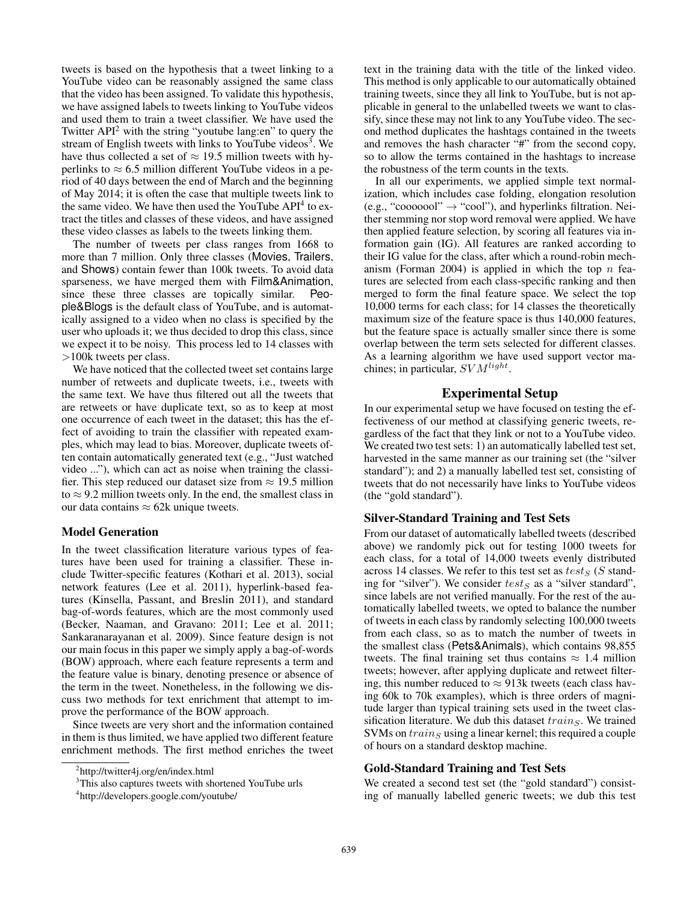tweets is based on the hypothesis that a tweet linking to a YouTube video can be reasonably assigned the same class that the video has been assigned. To validate this hypothesis, we have assigned labels to tweets linking to YouTube videos and used them to train a tweet classifier. We have used the Twitter  $API<sup>2</sup>$  with the string "youtube lang:en" to query the stream of English tweets with links to YouTube videos<sup>3</sup>. We have thus collected a set of  $\approx 19.5$  million tweets with hyperlinks to  $\approx 6.5$  million different YouTube videos in a period of 40 days between the end of March and the beginning of May 2014; it is often the case that multiple tweets link to the same video. We have then used the YouTube API<sup>4</sup> to extract the titles and classes of these videos, and have assigned these video classes as labels to the tweets linking them.

The number of tweets per class ranges from 1668 to more than 7 million. Only three classes (Movies, Trailers, and Shows) contain fewer than 100k tweets. To avoid data sparseness, we have merged them with Film&Animation, since these three classes are topically similar. People&Blogs is the default class of YouTube, and is automatically assigned to a video when no class is specified by the user who uploads it; we thus decided to drop this class, since we expect it to be noisy. This process led to 14 classes with >100k tweets per class.

We have noticed that the collected tweet set contains large number of retweets and duplicate tweets, i.e., tweets with the same text. We have thus filtered out all the tweets that are retweets or have duplicate text, so as to keep at most one occurrence of each tweet in the dataset; this has the effect of avoiding to train the classifier with repeated examples, which may lead to bias. Moreover, duplicate tweets often contain automatically generated text (e.g., "Just watched video ..."), which can act as noise when training the classifier. This step reduced our dataset size from  $\approx$  19.5 million to  $\approx$  9.2 million tweets only. In the end, the smallest class in our data contains  $\approx$  62k unique tweets.

#### Model Generation

In the tweet classification literature various types of features have been used for training a classifier. These include Twitter-specific features (Kothari et al. 2013), social network features (Lee et al. 2011), hyperlink-based features (Kinsella, Passant, and Breslin 2011), and standard bag-of-words features, which are the most commonly used (Becker, Naaman, and Gravano: 2011; Lee et al. 2011; Sankaranarayanan et al. 2009). Since feature design is not our main focus in this paper we simply apply a bag-of-words (BOW) approach, where each feature represents a term and the feature value is binary, denoting presence or absence of the term in the tweet. Nonetheless, in the following we discuss two methods for text enrichment that attempt to improve the performance of the BOW approach.

Since tweets are very short and the information contained in them is thus limited, we have applied two different feature enrichment methods. The first method enriches the tweet

text in the training data with the title of the linked video. This method is only applicable to our automatically obtained training tweets, since they all link to YouTube, but is not applicable in general to the unlabelled tweets we want to classify, since these may not link to any YouTube video. The second method duplicates the hashtags contained in the tweets and removes the hash character "#" from the second copy, so to allow the terms contained in the hashtags to increase the robustness of the term counts in the texts.

In all our experiments, we applied simple text normalization, which includes case folding, elongation resolution (e.g., "cooooool"  $\rightarrow$  "cool"), and hyperlinks filtration. Neither stemming nor stop word removal were applied. We have then applied feature selection, by scoring all features via information gain (IG). All features are ranked according to their IG value for the class, after which a round-robin mechanism (Forman 2004) is applied in which the top  $n$  features are selected from each class-specific ranking and then merged to form the final feature space. We select the top 10,000 terms for each class; for 14 classes the theoretically maximum size of the feature space is thus 140,000 features, but the feature space is actually smaller since there is some overlap between the term sets selected for different classes. As a learning algorithm we have used support vector machines; in particular,  $SVM<sup>light</sup>$ .

#### Experimental Setup

In our experimental setup we have focused on testing the effectiveness of our method at classifying generic tweets, regardless of the fact that they link or not to a YouTube video. We created two test sets: 1) an automatically labelled test set, harvested in the same manner as our training set (the "silver standard"); and 2) a manually labelled test set, consisting of tweets that do not necessarily have links to YouTube videos (the "gold standard").

#### Silver-Standard Training and Test Sets

From our dataset of automatically labelled tweets (described above) we randomly pick out for testing 1000 tweets for each class, for a total of 14,000 tweets evenly distributed across 14 classes. We refer to this test set as  $test_S$  (S standing for "silver"). We consider  $test_S$  as a "silver standard", since labels are not verified manually. For the rest of the automatically labelled tweets, we opted to balance the number of tweets in each class by randomly selecting 100,000 tweets from each class, so as to match the number of tweets in the smallest class (Pets&Animals), which contains 98,855 tweets. The final training set thus contains  $\approx 1.4$  million tweets; however, after applying duplicate and retweet filtering, this number reduced to  $\approx$  913k tweets (each class having 60k to 70k examples), which is three orders of magnitude larger than typical training sets used in the tweet classification literature. We dub this dataset  $training$ . We trained  $SVMs$  on  $training$  using a linear kernel; this required a couple of hours on a standard desktop machine.

#### Gold-Standard Training and Test Sets

We created a second test set (the "gold standard") consisting of manually labelled generic tweets; we dub this test

<sup>&</sup>lt;sup>2</sup>http://twitter4j.org/en/index.html

<sup>&</sup>lt;sup>3</sup>This also captures tweets with shortened YouTube urls

<sup>4</sup> http://developers.google.com/youtube/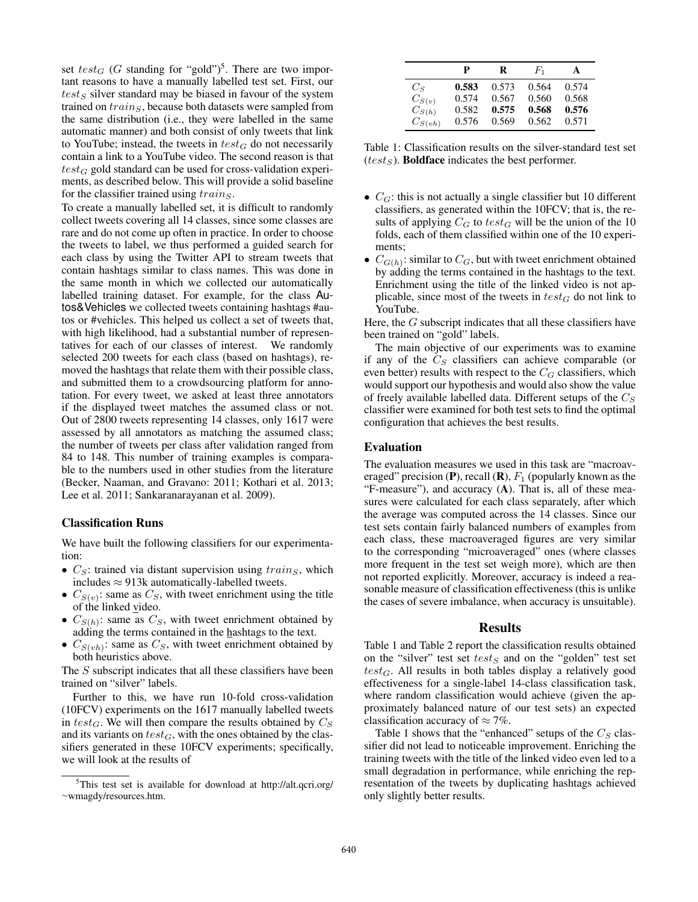set  $test_G$  (G standing for "gold")<sup>5</sup>. There are two important reasons to have a manually labelled test set. First, our  $test_S$  silver standard may be biased in favour of the system trained on  $train_S$ , because both datasets were sampled from the same distribution (i.e., they were labelled in the same automatic manner) and both consist of only tweets that link to YouTube; instead, the tweets in  $test_G$  do not necessarily contain a link to a YouTube video. The second reason is that  $test_G$  gold standard can be used for cross-validation experiments, as described below. This will provide a solid baseline for the classifier trained using  $train<sub>S</sub>$ .

To create a manually labelled set, it is difficult to randomly collect tweets covering all 14 classes, since some classes are rare and do not come up often in practice. In order to choose the tweets to label, we thus performed a guided search for each class by using the Twitter API to stream tweets that contain hashtags similar to class names. This was done in the same month in which we collected our automatically labelled training dataset. For example, for the class Autos&Vehicles we collected tweets containing hashtags #autos or #vehicles. This helped us collect a set of tweets that, with high likelihood, had a substantial number of representatives for each of our classes of interest. We randomly selected 200 tweets for each class (based on hashtags), removed the hashtags that relate them with their possible class, and submitted them to a crowdsourcing platform for annotation. For every tweet, we asked at least three annotators if the displayed tweet matches the assumed class or not. Out of 2800 tweets representing 14 classes, only 1617 were assessed by all annotators as matching the assumed class; the number of tweets per class after validation ranged from 84 to 148. This number of training examples is comparable to the numbers used in other studies from the literature (Becker, Naaman, and Gravano: 2011; Kothari et al. 2013; Lee et al. 2011; Sankaranarayanan et al. 2009).

#### Classification Runs

We have built the following classifiers for our experimentation:

- $C_S$ : trained via distant supervision using  $training,$  which includes  $\approx$  913k automatically-labelled tweets.
- $C_{S(v)}$ : same as  $C_S$ , with tweet enrichment using the title of the linked video.
- $C_{S(h)}$ : same as  $C_S$ , with tweet enrichment obtained by adding the terms contained in the hashtags to the text.
- $C_{S(vh)}$ : same as  $C_S$ , with tweet enrichment obtained by both heuristics above.

The S subscript indicates that all these classifiers have been trained on "silver" labels.

Further to this, we have run 10-fold cross-validation (10FCV) experiments on the 1617 manually labelled tweets in test<sub>G</sub>. We will then compare the results obtained by  $C_S$ and its variants on  $test_G$ , with the ones obtained by the classifiers generated in these 10FCV experiments; specifically, we will look at the results of

|             | P     | R     | $F_1$ | A     |
|-------------|-------|-------|-------|-------|
| $C_S$       | 0.583 | 0.573 | 0.564 | 0.574 |
| $C_{S(v)}$  | 0.574 | 0.567 | 0.560 | 0.568 |
| $C_{S(h)}$  | 0.582 | 0.575 | 0.568 | 0.576 |
| $C_{S(vh)}$ | 0.576 | 0.569 | 0.562 | 0.571 |

Table 1: Classification results on the silver-standard test set  $(test<sub>S</sub>)$ . **Boldface** indicates the best performer.

- $C_G$ : this is not actually a single classifier but 10 different classifiers, as generated within the 10FCV; that is, the results of applying  $C_G$  to  $test_G$  will be the union of the 10 folds, each of them classified within one of the 10 experiments;
- $C_{G(h)}$ : similar to  $C_G$ , but with tweet enrichment obtained by adding the terms contained in the hashtags to the text. Enrichment using the title of the linked video is not applicable, since most of the tweets in  $test_G$  do not link to YouTube.

Here, the  $G$  subscript indicates that all these classifiers have been trained on "gold" labels.

The main objective of our experiments was to examine if any of the  $C<sub>S</sub>$  classifiers can achieve comparable (or even better) results with respect to the  $C_G$  classifiers, which would support our hypothesis and would also show the value of freely available labelled data. Different setups of the  $C_S$ classifier were examined for both test sets to find the optimal configuration that achieves the best results.

#### Evaluation

The evaluation measures we used in this task are "macroaveraged" precision (P), recall (R),  $F_1$  (popularly known as the "F-measure"), and accuracy (A). That is, all of these measures were calculated for each class separately, after which the average was computed across the 14 classes. Since our test sets contain fairly balanced numbers of examples from each class, these macroaveraged figures are very similar to the corresponding "microaveraged" ones (where classes more frequent in the test set weigh more), which are then not reported explicitly. Moreover, accuracy is indeed a reasonable measure of classification effectiveness (this is unlike the cases of severe imbalance, when accuracy is unsuitable).

#### Results

Table 1 and Table 2 report the classification results obtained on the "silver" test set  $test_S$  and on the "golden" test set  $test_G$ . All results in both tables display a relatively good effectiveness for a single-label 14-class classification task, where random classification would achieve (given the approximately balanced nature of our test sets) an expected classification accuracy of  $\approx$  7%.

Table 1 shows that the "enhanced" setups of the  $C_S$  classifier did not lead to noticeable improvement. Enriching the training tweets with the title of the linked video even led to a small degradation in performance, while enriching the representation of the tweets by duplicating hashtags achieved only slightly better results.

<sup>5</sup>This test set is available for download at http://alt.qcri.org/ <sup>∼</sup>wmagdy/resources.htm.